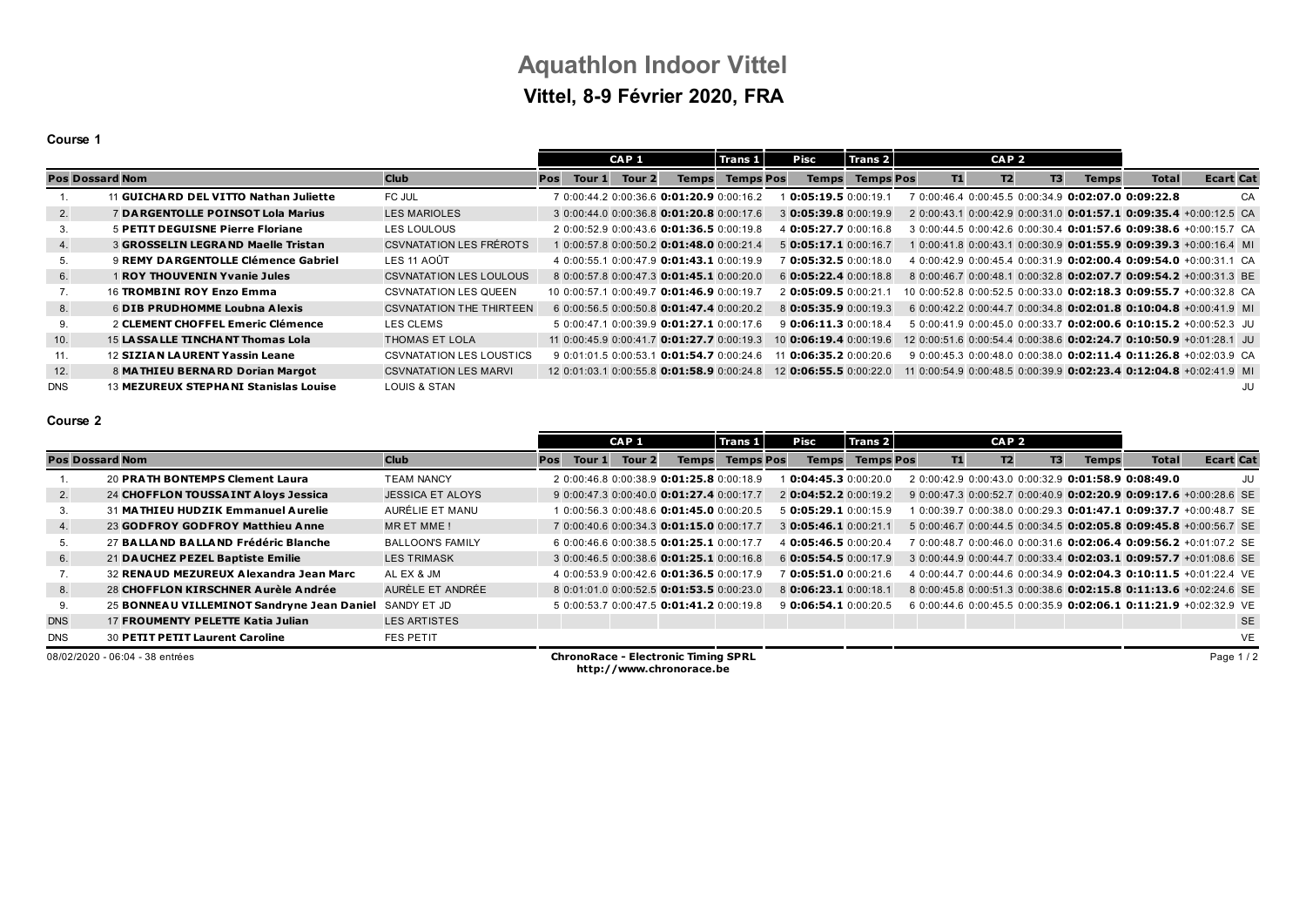# **Aquathlon Indoor Vittel Vittel, 8-9 Février 2020, FRA**

### **Course 1**

|                        |                                           |                                 | CAP <sub>1</sub> |        | Trans 1 |                                            | Pisc             |  | Trans 2                 |                  |  |           | CAP <sub>2</sub> |                |              |                                                                           |                  |    |
|------------------------|-------------------------------------------|---------------------------------|------------------|--------|---------|--------------------------------------------|------------------|--|-------------------------|------------------|--|-----------|------------------|----------------|--------------|---------------------------------------------------------------------------|------------------|----|
| <b>Pos Dossard Nom</b> |                                           | <b>Club</b>                     | <b>Pos</b>       | Tour 1 | Tour 2  | <b>Temps</b>                               | <b>Temps Pos</b> |  | <b>Temps</b>            | <b>Temps Pos</b> |  | <b>T1</b> | T2               | T <sub>3</sub> | <b>Temps</b> | <b>Total</b>                                                              | <b>Ecart Cat</b> |    |
|                        | 11 GUICHARD DEL VITTO Nathan Juliette     | FC JUL                          |                  |        |         | 7 0:00:44.2 0:00:36.6 0:01:20.9 0:00:16.2  |                  |  | 0:05:19.50:00:19.5      |                  |  |           |                  |                |              | $'$ 0:00:46.4 0:00:45.5 0:00:34.9 0:02:07.0 0:09:22.8                     |                  | CA |
| 2.                     | 7 DARGENTOLLE POINSOT Lola Marius         | <b>LES MARIOLES</b>             |                  |        |         | 3 0:00:44.0 0:00:36.8 0:01:20.8 0:00:17.6  |                  |  | $3$ 0:05:39.8 0:00:19.9 |                  |  |           |                  |                |              | 2 0:00:43.1 0:00:42.9 0:00:31.0 0:01:57.1 0:09:35.4 +0:00:12.5 CA         |                  |    |
| 3.                     | <b>5 PETIT DEGUISNE Pierre Floriane</b>   | LES LOULOUS                     |                  |        |         | 2 0:00:52.9 0:00:43.6 0:01:36.5 0:00:19.8  |                  |  | 4 0:05:27.7 0:00:16.8   |                  |  |           |                  |                |              | 3 0:00:44.5 0:00:42.6 0:00:30.4 0:01:57.6 0:09:38.6 +0:00:15.7 CA         |                  |    |
| 4.                     | <b>3 GROSSELIN LEGRAND Maelle Tristan</b> | <b>CSVNATATION LES FRÉROTS</b>  |                  |        |         | 1 0:00:57.8 0:00:50.2 0:01:48.0 0:00:21.4  |                  |  | $5$ 0:05:17.1 0:00:16.7 |                  |  |           |                  |                |              | $0:00:41.8$ 0:00:43.1 0:00:30.9 0:01:55.9 0:09:39.3 +0:00:16.4 MI         |                  |    |
| 5.                     | 9 REMY DA RGENTOLLE Clémence Gabriel      | LES 11 AOÛT                     |                  |        |         | 4 0:00:55.1 0:00:47.9 0:01:43.1 0:00:19.9  |                  |  | $'$ 0:05:32.5 0:00:18.0 |                  |  |           |                  |                |              | 4 0:00:42.9 0:00:45.4 0:00:31.9 0:02:00.4 0:09:54.0 +0:00:31.1 CA         |                  |    |
| 6.                     | 1 ROY THOUVENIN Yvanie Jules              | <b>CSVNATATION LES LOULOUS</b>  |                  |        |         | 8 0:00:57.8 0:00:47.3 0:01:45.1 0:00:20.0  |                  |  | 6 0:05:22.4 0:00:18.8   |                  |  |           |                  |                |              | 8 0:00:46.7 0:00:48.1 0:00:32.8 0:02:07.7 0:09:54.2 +0:00:31.3 BE         |                  |    |
|                        | 16 TROMBINI ROY Enzo Emma                 | <b>CSVNATATION LES QUEEN</b>    |                  |        |         | 10 0:00:57.1 0:00:49.7 0:01:46.9 0:00:19.7 |                  |  | 2 0:05:09.5 0:00:21.    |                  |  |           |                  |                |              | 10 0:00:52.8 0:00:52.5 0:00:33.0 0:02:18.3 0:09:55.7 +0:00:32.8 CA        |                  |    |
| 8.                     | 6 DIB PRUDHOMME Loubna Alexis             | <b>CSVNATATION THE THIRTEEN</b> |                  |        |         | 6 0:00:56.5 0:00:50.8 0:01:47.4 0:00:20.2  |                  |  | 8 0:05:35.9 0:00:19.3   |                  |  |           |                  |                |              | 6 0:00:42.2 0:00:44.7 0:00:34.8 <b>0:02:01.8 0:10:04.8</b> +0:00:41.9 MI  |                  |    |
|                        | 2 CLEMENT CHOFFEL Emeric Clémence         | LES CLEMS                       |                  |        |         | 5 0:00:47.1 0:00:39.9 0:01:27.1 0:00:17.6  |                  |  | $9$ 0:06:11.3 0:00:18.4 |                  |  |           |                  |                |              | $50:00:41.90:00:45.00:00:33.7$ 0:02:00.6 0:10:15.2 +0:00:52.3 JU          |                  |    |
| 10.                    | 15 LASSALLE TINCHANT Thomas Lola          | THOMAS ET LOLA                  |                  |        |         | 11 0:00:45.9 0:00:41.7 0:01:27.7 0:00:19.3 |                  |  | 10 0:06:19.4 0:00:19.6  |                  |  |           |                  |                |              | 12 0:00:51.6 0:00:54.4 0:00:38.6 <b>0:02:24.7 0:10:50.9</b> +0:01:28.1 JU |                  |    |
| 11.                    | <b>12 SIZIAN LAURENT Yassin Leane</b>     | CSVNATATION LES LOUSTICS        |                  |        |         | 9 0:01:01.5 0:00:53.1 0:01:54.7 0:00:24.6  |                  |  | $1$ 0:06:35.2 0:00:20.6 |                  |  |           |                  |                |              | 9 0:00:45.3 0:00:48.0 0:00:38.0 0:02:11.4 0:11:26.8 +0:02:03.9 CA         |                  |    |
| 12.                    | 8 MATHIEU BERNARD Dorian Margot           | <b>CSVNATATION LES MARVI</b>    |                  |        |         | 12 0:01:03 1 0:00:55 8 0:01:58 9 0:00:24 8 |                  |  | 12 0:06:55.5 0:00:22.0  |                  |  |           |                  |                |              | 11 0:00:54.9 0:00:48.5 0:00:39.9 0:02:23.4 0:12:04.8 +0:02:41.9 MI        |                  |    |
| <b>DNS</b>             | 13 MEZUREUX STEPHANI Stanislas Louise     | LOUIS & STAN                    |                  |        |         |                                            |                  |  |                         |                  |  |           |                  |                |              |                                                                           |                  | JU |

### **Course 2**

|                        |                                            |                         |            |        | CAP <sub>1</sub>  |                                                    | Trans 1          | Pisc                    | Trans 2          |    | CAP <sub>2</sub> |                |              |                                                            |                                                                          |
|------------------------|--------------------------------------------|-------------------------|------------|--------|-------------------|----------------------------------------------------|------------------|-------------------------|------------------|----|------------------|----------------|--------------|------------------------------------------------------------|--------------------------------------------------------------------------|
| <b>Pos Dossard Nom</b> |                                            | <b>Club</b>             | <b>Pos</b> | Tour 1 | Tour <sub>2</sub> | <b>Temps</b>                                       | <b>Temps Pos</b> | <b>Temps</b>            | <b>Temps Pos</b> | T1 | T2               | T <sub>3</sub> | <b>Temps</b> | <b>Total</b>                                               | <b>Ecart Cat</b>                                                         |
|                        | 20 PRATH BONTEMPS Clement Laura            | <b>TEAM NANCY</b>       |            |        |                   | 2 0:00:46.8 0:00:38.9 0:01:25.8 0:00:18.9          |                  | 0:04:45.30:00:20.0      |                  |    |                  |                |              | 2 0:00:42 9 0:00:43 0 0:00:32 9 <b>0:01:58.9 0:08:49.0</b> | JU                                                                       |
| 2.                     | 24 CHOFFLON TOUSSAINT Aloys Jessica        | <b>JESSICA ET ALOYS</b> |            |        |                   | 9 0:00:47.3 0:00:40.0 0:01:27.4 0:00:17.7          |                  | 2 0:04:52.2 0:00:19.2   |                  |    |                  |                |              |                                                            | 9 0:00:47.3 0:00:52.7 0:00:40.9 0:02:20.9 0:09:17.6 +0:00:28.6 SE        |
|                        | 31 MATHIEU HUDZIK Emmanuel Aurelie         | AURÉLIE ET MANU         |            |        |                   | $1.0:00:56.3.0:00:48.6$ <b>0:01:45.0</b> 0:00:20.5 |                  | 5 0:05:29.1 0:00:15.9   |                  |    |                  |                |              |                                                            | 1 0:00:39.7 0:00:38.0 0:00:29.3 <b>0:01:47.1 0:09:37.7</b> +0:00:48.7 SE |
| 4.                     | 23 GODFROY GODFROY Matthieu Anne           | MRET MME!               |            |        |                   | 7 0:00:40.6 0:00:34.3 0:01:15.0 0:00:17.7          |                  | 3 0:05:46.1 0:00:21.1   |                  |    |                  |                |              |                                                            | 5 0:00:46.7 0:00:44.5 0:00:34.5 0:02:05.8 0:09:45.8 +0:00:56.7 SE        |
|                        | 27 BALLAND BALLAND Frédéric Blanche        | <b>BALLOON'S FAMILY</b> |            |        |                   | 6 0:00:46.6 0:00:38.5 0:01:25.1 0:00:17.7          |                  | 4 0:05:46.5 0:00:20.4   |                  |    |                  |                |              |                                                            | 7 0:00:48.7 0:00:46.0 0:00:31.6 <b>0:02:06.4 0:09:56.2</b> +0:01:07.2 SE |
| 6.                     | 21 DAUCHEZ PEZEL Baptiste Emilie           | <b>LES TRIMASK</b>      |            |        |                   | 3 0:00:46.5 0:00:38.6 0:01:25.1 0:00:16.8          |                  | 6 0:05:54.5 0:00:17.9   |                  |    |                  |                |              |                                                            | 3 0:00:44.9 0:00:44.7 0:00:33.4 0:02:03.1 0:09:57.7 +0:01:08.6 SE        |
|                        | 32 RENAUD MEZUREUX Alexandra Jean Marc     | AL EX & JM              |            |        |                   | 4 0:00:53.9 0:00:42.6 0:01:36.5 0:00:17.9          |                  | $'$ 0:05:51.0 0:00:21.6 |                  |    |                  |                |              |                                                            | 4 0:00:44.7 0:00:44.6 0:00:34.9 0:02:04.3 0:10:11.5 +0:01:22.4 VE        |
| 8.                     | 28 CHOFFLON KIRSCHNER Aurèle Andrée        | AURÈLE ET ANDRÉE        |            |        |                   | 8 0:01:01.0 0:00:52.5 0:01:53.5 0:00:23.0          |                  | 8 0:06:23.1 0:00:18.1   |                  |    |                  |                |              |                                                            | 8 0:00:45.8 0:00:51.3 0:00:38.6 <b>0:02:15.8 0:11:13.6</b> +0:02:24.6 SE |
| 9.                     | 25 BONNEAU VILLEMINOT Sandryne Jean Daniel | SANDY ET JD             |            |        |                   | 5 0:00:53.7 0:00:47.5 0:01:41.2 0:00:19.8          |                  | 9 0:06:54.1 0:00:20.5   |                  |    |                  |                |              |                                                            | 6 0:00:44.6 0:00:45.5 0:00:35.9 0:02:06.1 0:11:21.9 +0:02:32.9 VE        |
| <b>DNS</b>             | 17 FROUMENTY PELETTE Katia Julian          | <b>LES ARTISTES</b>     |            |        |                   |                                                    |                  |                         |                  |    |                  |                |              |                                                            | <b>SE</b>                                                                |
| <b>DNS</b>             | <b>30 PETIT PETIT Laurent Caroline</b>     | <b>FES PETIT</b>        |            |        |                   |                                                    |                  |                         |                  |    |                  |                |              |                                                            | VE                                                                       |

08/02/2020 - 06:04 - 38 entrées **ChronoRace - Electronic Timing SPRL http://www.chronorace.be**

Page 1 / 2